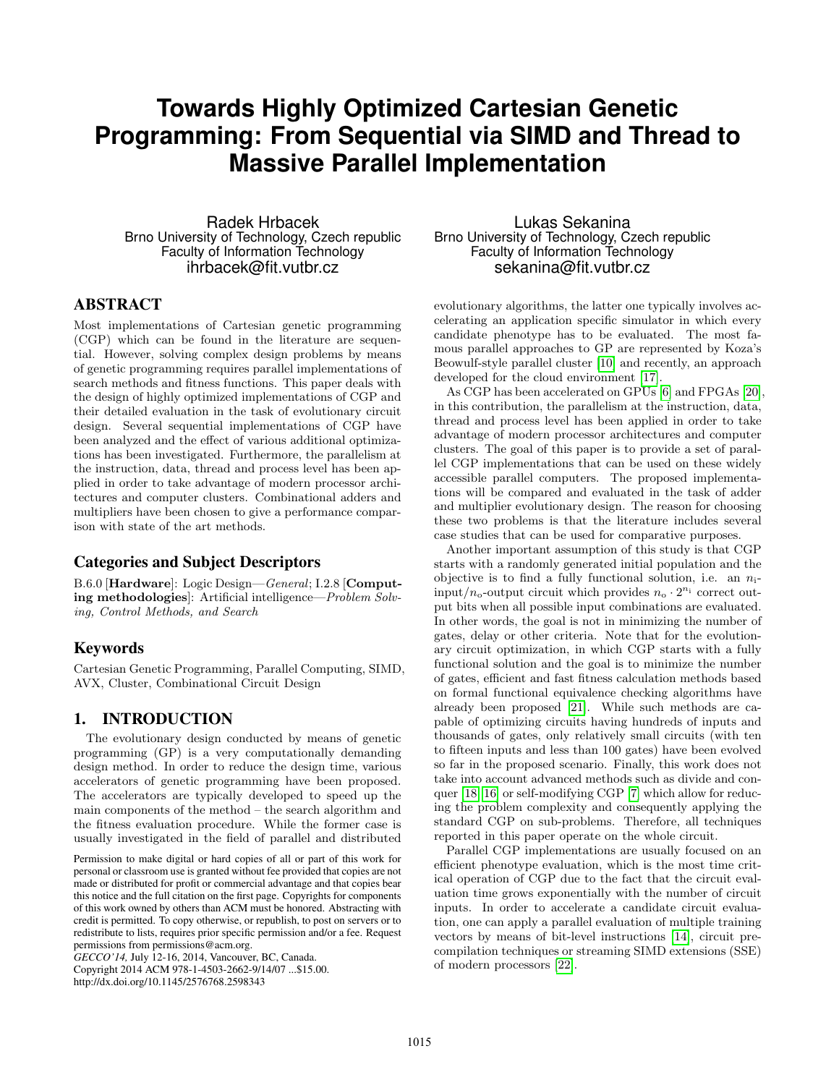# **Towards Highly Optimized Cartesian Genetic Programming: From Sequential via SIMD and Thread to Massive Parallel Implementation**

Radek Hrbacek Brno University of Technology, Czech republic Faculty of Information Technology ihrbacek@fit.vutbr.cz

# ABSTRACT

Most implementations of Cartesian genetic programming (CGP) which can be found in the literature are sequential. However, solving complex design problems by means of genetic programming requires parallel implementations of search methods and fitness functions. This paper deals with the design of highly optimized implementations of CGP and their detailed evaluation in the task of evolutionary circuit design. Several sequential implementations of CGP have been analyzed and the effect of various additional optimizations has been investigated. Furthermore, the parallelism at the instruction, data, thread and process level has been applied in order to take advantage of modern processor architectures and computer clusters. Combinational adders and multipliers have been chosen to give a performance comparison with state of the art methods.

#### Categories and Subject Descriptors

B.6.0 [Hardware]: Logic Design—General; I.2.8 [Computing methodologies]: Artificial intelligence—Problem Solving, Control Methods, and Search

# Keywords

Cartesian Genetic Programming, Parallel Computing, SIMD, AVX, Cluster, Combinational Circuit Design

### 1. INTRODUCTION

The evolutionary design conducted by means of genetic programming (GP) is a very computationally demanding design method. In order to reduce the design time, various accelerators of genetic programming have been proposed. The accelerators are typically developed to speed up the main components of the method – the search algorithm and the fitness evaluation procedure. While the former case is usually investigated in the field of parallel and distributed

*GECCO'14,* July 12-16, 2014, Vancouver, BC, Canada. Copyright 2014 ACM 978-1-4503-2662-9/14/07 ...\$15.00.

http://dx.doi.org/10.1145/2576768.2598343

Lukas Sekanina Brno University of Technology, Czech republic Faculty of Information Technology sekanina@fit.vutbr.cz

evolutionary algorithms, the latter one typically involves accelerating an application specific simulator in which every candidate phenotype has to be evaluated. The most famous parallel approaches to GP are represented by Koza's Beowulf-style parallel cluster [\[10\]](#page-7-0) and recently, an approach developed for the cloud environment [\[17\]](#page-7-1).

As CGP has been accelerated on GPUs [\[6\]](#page-7-2) and FPGAs [\[20\]](#page-7-3), in this contribution, the parallelism at the instruction, data, thread and process level has been applied in order to take advantage of modern processor architectures and computer clusters. The goal of this paper is to provide a set of parallel CGP implementations that can be used on these widely accessible parallel computers. The proposed implementations will be compared and evaluated in the task of adder and multiplier evolutionary design. The reason for choosing these two problems is that the literature includes several case studies that can be used for comparative purposes.

Another important assumption of this study is that CGP starts with a randomly generated initial population and the objective is to find a fully functional solution, i.e. an  $n_i$ input/ $n_o$ -output circuit which provides  $n_o \cdot 2^{n_i}$  correct output bits when all possible input combinations are evaluated. In other words, the goal is not in minimizing the number of gates, delay or other criteria. Note that for the evolutionary circuit optimization, in which CGP starts with a fully functional solution and the goal is to minimize the number of gates, efficient and fast fitness calculation methods based on formal functional equivalence checking algorithms have already been proposed [\[21\]](#page-7-4). While such methods are capable of optimizing circuits having hundreds of inputs and thousands of gates, only relatively small circuits (with ten to fifteen inputs and less than 100 gates) have been evolved so far in the proposed scenario. Finally, this work does not take into account advanced methods such as divide and conquer [\[18,](#page-7-5) [16\]](#page-7-6) or self-modifying CGP [\[7\]](#page-7-7) which allow for reducing the problem complexity and consequently applying the standard CGP on sub-problems. Therefore, all techniques reported in this paper operate on the whole circuit.

Parallel CGP implementations are usually focused on an efficient phenotype evaluation, which is the most time critical operation of CGP due to the fact that the circuit evaluation time grows exponentially with the number of circuit inputs. In order to accelerate a candidate circuit evaluation, one can apply a parallel evaluation of multiple training vectors by means of bit-level instructions [\[14\]](#page-7-8), circuit precompilation techniques or streaming SIMD extensions (SSE) of modern processors [\[22\]](#page-7-9).

Permission to make digital or hard copies of all or part of this work for personal or classroom use is granted without fee provided that copies are not made or distributed for profit or commercial advantage and that copies bear this notice and the full citation on the first page. Copyrights for components of this work owned by others than ACM must be honored. Abstracting with credit is permitted. To copy otherwise, or republish, to post on servers or to redistribute to lists, requires prior specific permission and/or a fee. Request permissions from permissions@acm.org.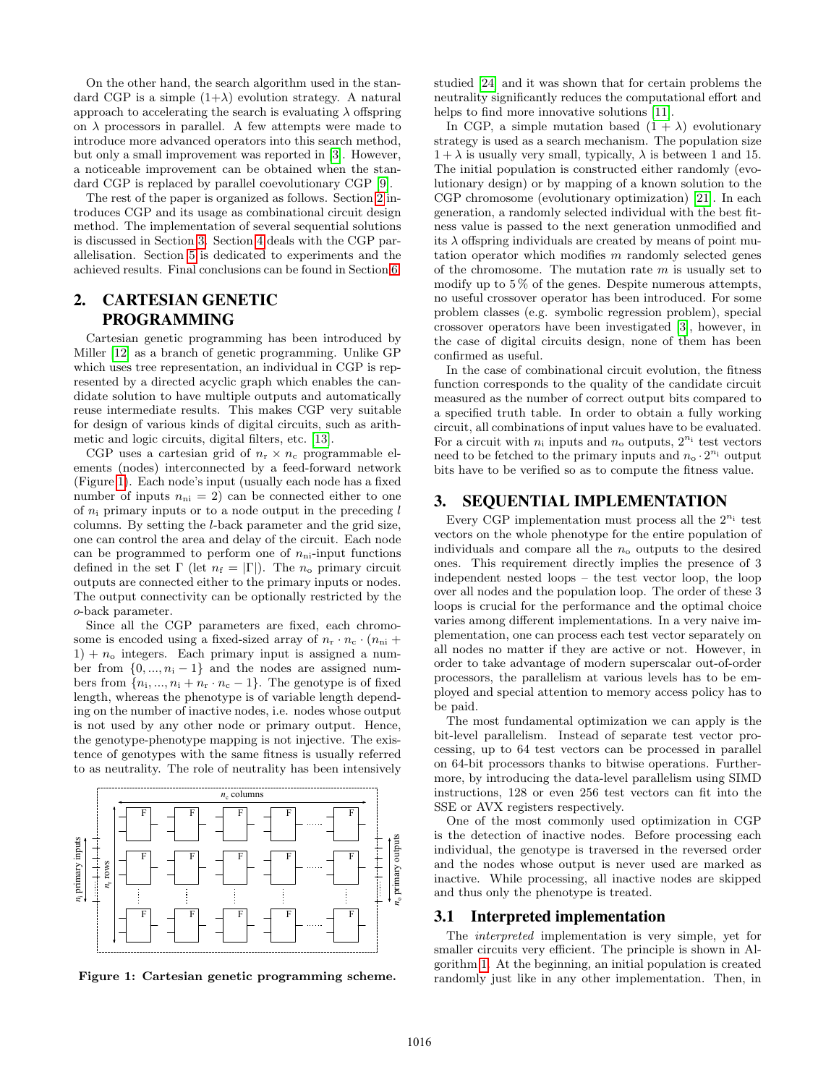On the other hand, the search algorithm used in the standard CGP is a simple  $(1+\lambda)$  evolution strategy. A natural approach to accelerating the search is evaluating  $\lambda$  offspring on  $\lambda$  processors in parallel. A few attempts were made to introduce more advanced operators into this search method, but only a small improvement was reported in [\[3\]](#page-7-10). However, a noticeable improvement can be obtained when the standard CGP is replaced by parallel coevolutionary CGP [\[9\]](#page-7-11).

The rest of the paper is organized as follows. Section [2](#page-1-0) introduces CGP and its usage as combinational circuit design method. The implementation of several sequential solutions is discussed in Section [3.](#page-1-1) Section [4](#page-3-0) deals with the CGP parallelisation. Section [5](#page-4-0) is dedicated to experiments and the achieved results. Final conclusions can be found in Section [6.](#page-6-0)

# <span id="page-1-0"></span>2. CARTESIAN GENETIC PROGRAMMING

Cartesian genetic programming has been introduced by Miller [\[12\]](#page-7-12) as a branch of genetic programming. Unlike GP which uses tree representation, an individual in CGP is represented by a directed acyclic graph which enables the candidate solution to have multiple outputs and automatically reuse intermediate results. This makes CGP very suitable for design of various kinds of digital circuits, such as arithmetic and logic circuits, digital filters, etc. [\[13\]](#page-7-13).

CGP uses a cartesian grid of  $n_r \times n_c$  programmable elements (nodes) interconnected by a feed-forward network (Figure [1\)](#page-1-2). Each node's input (usually each node has a fixed number of inputs  $n_{\text{ni}} = 2$  can be connected either to one of  $n_i$  primary inputs or to a node output in the preceding  $l$ columns. By setting the l-back parameter and the grid size, one can control the area and delay of the circuit. Each node can be programmed to perform one of  $n_{\text{ni}}$ -input functions defined in the set  $\Gamma$  (let  $n_f = |\Gamma|$ ). The  $n_o$  primary circuit outputs are connected either to the primary inputs or nodes. The output connectivity can be optionally restricted by the o-back parameter.

Since all the CGP parameters are fixed, each chromosome is encoded using a fixed-sized array of  $n_r \cdot n_c \cdot (n_{ni} +$  $1) + n_0$  integers. Each primary input is assigned a number from  $\{0, ..., n_i - 1\}$  and the nodes are assigned numbers from  $\{n_1, ..., n_i + n_r \cdot n_c - 1\}$ . The genotype is of fixed length, whereas the phenotype is of variable length depending on the number of inactive nodes, i.e. nodes whose output is not used by any other node or primary output. Hence, the genotype-phenotype mapping is not injective. The existence of genotypes with the same fitness is usually referred to as neutrality. The role of neutrality has been intensively



<span id="page-1-2"></span>Figure 1: Cartesian genetic programming scheme.

studied [\[24\]](#page-7-14) and it was shown that for certain problems the neutrality significantly reduces the computational effort and helps to find more innovative solutions [\[11\]](#page-7-15).

In CGP, a simple mutation based  $(1 + \lambda)$  evolutionary strategy is used as a search mechanism. The population size  $1 + \lambda$  is usually very small, typically,  $\lambda$  is between 1 and 15. The initial population is constructed either randomly (evolutionary design) or by mapping of a known solution to the CGP chromosome (evolutionary optimization) [\[21\]](#page-7-4). In each generation, a randomly selected individual with the best fitness value is passed to the next generation unmodified and its  $\lambda$  offspring individuals are created by means of point mutation operator which modifies  $m$  randomly selected genes of the chromosome. The mutation rate  $m$  is usually set to modify up to  $5\%$  of the genes. Despite numerous attempts, no useful crossover operator has been introduced. For some problem classes (e.g. symbolic regression problem), special crossover operators have been investigated [\[3\]](#page-7-10), however, in the case of digital circuits design, none of them has been confirmed as useful.

In the case of combinational circuit evolution, the fitness function corresponds to the quality of the candidate circuit measured as the number of correct output bits compared to a specified truth table. In order to obtain a fully working circuit, all combinations of input values have to be evaluated. For a circuit with  $n_i$  inputs and  $n_o$  outputs,  $2^{n_i}$  test vectors need to be fetched to the primary inputs and  $n_{o} \cdot 2^{n_{i}}$  output bits have to be verified so as to compute the fitness value.

#### <span id="page-1-1"></span>3. SEQUENTIAL IMPLEMENTATION

Every CGP implementation must process all the  $2^{n_i}$  test vectors on the whole phenotype for the entire population of individuals and compare all the  $n<sub>o</sub>$  outputs to the desired ones. This requirement directly implies the presence of 3 independent nested loops – the test vector loop, the loop over all nodes and the population loop. The order of these 3 loops is crucial for the performance and the optimal choice varies among different implementations. In a very naive implementation, one can process each test vector separately on all nodes no matter if they are active or not. However, in order to take advantage of modern superscalar out-of-order processors, the parallelism at various levels has to be employed and special attention to memory access policy has to be paid.

The most fundamental optimization we can apply is the bit-level parallelism. Instead of separate test vector processing, up to 64 test vectors can be processed in parallel on 64-bit processors thanks to bitwise operations. Furthermore, by introducing the data-level parallelism using SIMD instructions, 128 or even 256 test vectors can fit into the SSE or AVX registers respectively.

One of the most commonly used optimization in CGP is the detection of inactive nodes. Before processing each individual, the genotype is traversed in the reversed order and the nodes whose output is never used are marked as inactive. While processing, all inactive nodes are skipped and thus only the phenotype is treated.

#### 3.1 Interpreted implementation

The interpreted implementation is very simple, yet for smaller circuits very efficient. The principle is shown in Algorithm [1.](#page-2-0) At the beginning, an initial population is created randomly just like in any other implementation. Then, in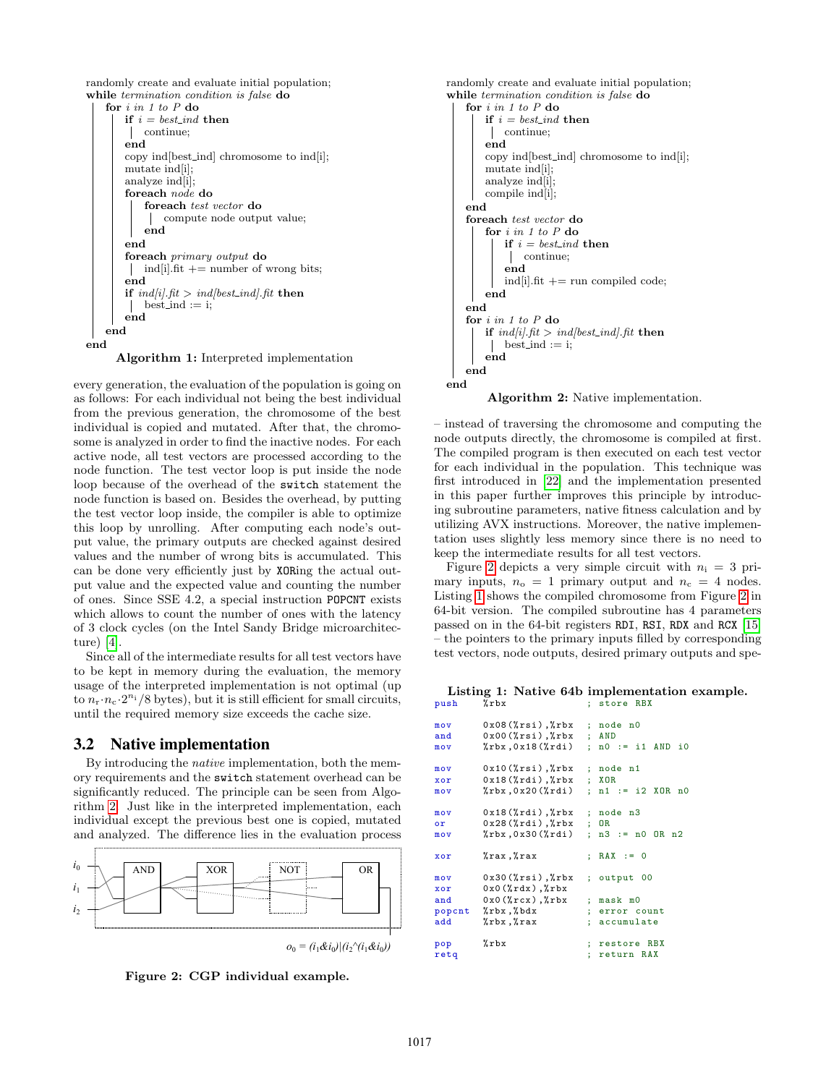```
randomly create and evaluate initial population;
while termination condition is false do
   for i in 1 to P do
       if i = best\_ind then
        continue;
       end
       copy ind [best_ind] chromosome to ind[i];
       mutate ind[i];
       analyze ind[i];
       foreach node do
           foreach test vector do
             compute node output value;
           end
       end
       foreach primary output do
        | ind[i].fit += number of wrong bits;
       end
       if ind[i].fit > ind/best\_ind].fit then
        | best_ind := i;
       end
   end
end
```
<span id="page-2-0"></span>Algorithm 1: Interpreted implementation

every generation, the evaluation of the population is going on as follows: For each individual not being the best individual from the previous generation, the chromosome of the best individual is copied and mutated. After that, the chromosome is analyzed in order to find the inactive nodes. For each active node, all test vectors are processed according to the node function. The test vector loop is put inside the node loop because of the overhead of the switch statement the node function is based on. Besides the overhead, by putting the test vector loop inside, the compiler is able to optimize this loop by unrolling. After computing each node's output value, the primary outputs are checked against desired values and the number of wrong bits is accumulated. This can be done very efficiently just by XORing the actual output value and the expected value and counting the number of ones. Since SSE 4.2, a special instruction POPCNT exists which allows to count the number of ones with the latency of 3 clock cycles (on the Intel Sandy Bridge microarchitecture) [\[4\]](#page-7-16).

Since all of the intermediate results for all test vectors have to be kept in memory during the evaluation, the memory usage of the interpreted implementation is not optimal (up to  $n_r \cdot n_c \cdot 2^{n_i}/8$  bytes), but it is still efficient for small circuits, until the required memory size exceeds the cache size.

#### 3.2 Native implementation

By introducing the native implementation, both the memory requirements and the switch statement overhead can be significantly reduced. The principle can be seen from Algorithm [2.](#page-2-1) Just like in the interpreted implementation, each individual except the previous best one is copied, mutated and analyzed. The difference lies in the evaluation process



<span id="page-2-2"></span>Figure 2: CGP individual example.

```
randomly create and evaluate initial population;
while termination condition is false do
   for i in 1 to P do
       if i = best\_ind then
         continue;
        end
        copy ind [best_ind] chromosome to ind[i];
        mutate ind[i];
       analyze ind[i];
       compile ind[i];
   end
   foreach test vector do
        for i in 1 to P do
            if i = best\_ind then
             continue;
            end
            ind[i].fit += run compiled code;
       end
   end
   for i \it{in} \it{1} \it{to} \it{P} do
       if ind[i].fit > ind/best\_ind].fit then
          best\_ind := i;\overline{\phantom{a}}end
   end
end
```
#### Algorithm 2: Native implementation.

<span id="page-2-1"></span>– instead of traversing the chromosome and computing the node outputs directly, the chromosome is compiled at first. The compiled program is then executed on each test vector for each individual in the population. This technique was first introduced in [\[22\]](#page-7-9) and the implementation presented in this paper further improves this principle by introducing subroutine parameters, native fitness calculation and by utilizing AVX instructions. Moreover, the native implementation uses slightly less memory since there is no need to keep the intermediate results for all test vectors.

Figure [2](#page-2-2) depicts a very simple circuit with  $n_i = 3$  primary inputs,  $n_{\rm o} = 1$  primary output and  $n_{\rm c} = 4$  nodes. Listing [1](#page-2-3) shows the compiled chromosome from Figure [2](#page-2-2) in 64-bit version. The compiled subroutine has 4 parameters passed on in the 64-bit registers RDI, RSI, RDX and RCX [\[15\]](#page-7-17) – the pointers to the primary inputs filled by corresponding test vectors, node outputs, desired primary outputs and spe-

#### <span id="page-2-3"></span>Listing 1: Native 64b implementation example. push % rbx ; store RBX

| mov<br>and<br>mov | $0x08$ (%rsi),%rbx<br>$0x00$ $(\text{``rsi)}, \text{``rbx}$ ; AND<br>(rbx,0x18(%rdi) | ; node n0<br>; $n0 := i1$ AND $i0$ |
|-------------------|--------------------------------------------------------------------------------------|------------------------------------|
| mov<br>xor<br>mov | $0x10$ ( $%rsi$ ), $%rbx$<br>0x18(%rdi),%rbx<br>%rbx,0x20(%rdi) ; n1 := i2 XOR n0    | ; node n1<br>: XOR                 |
| mov<br>or<br>mov  | $0x18$ $%$ rdi), $%$ rbx; node n3<br>0x28(%rdi),%rbx<br>%rbx,0x30(%rdi)              | $:$ OR<br>; $n3 := n0$ OR $n2$     |
| xor               | $%$ rax, $%$ rax                                                                     | ; $RAX := 0$                       |
| mov<br>xor        | $0x30$ ( $xrsi$ ), $xbrk$<br>$0x0$ (%rdx), %rbx                                      | ; output 00                        |
| and               | $0x0$ ( $xcx$ ), $xbx$                                                               | ; mask m0                          |
| popcnt            | %rbx,%bdx                                                                            | ; error count                      |
| add               | %rbx,%rax                                                                            | ; accumulate                       |
| pop               | $\chi$ rbx                                                                           | ; restore RBX                      |
| retq              |                                                                                      | return RAX                         |
|                   |                                                                                      |                                    |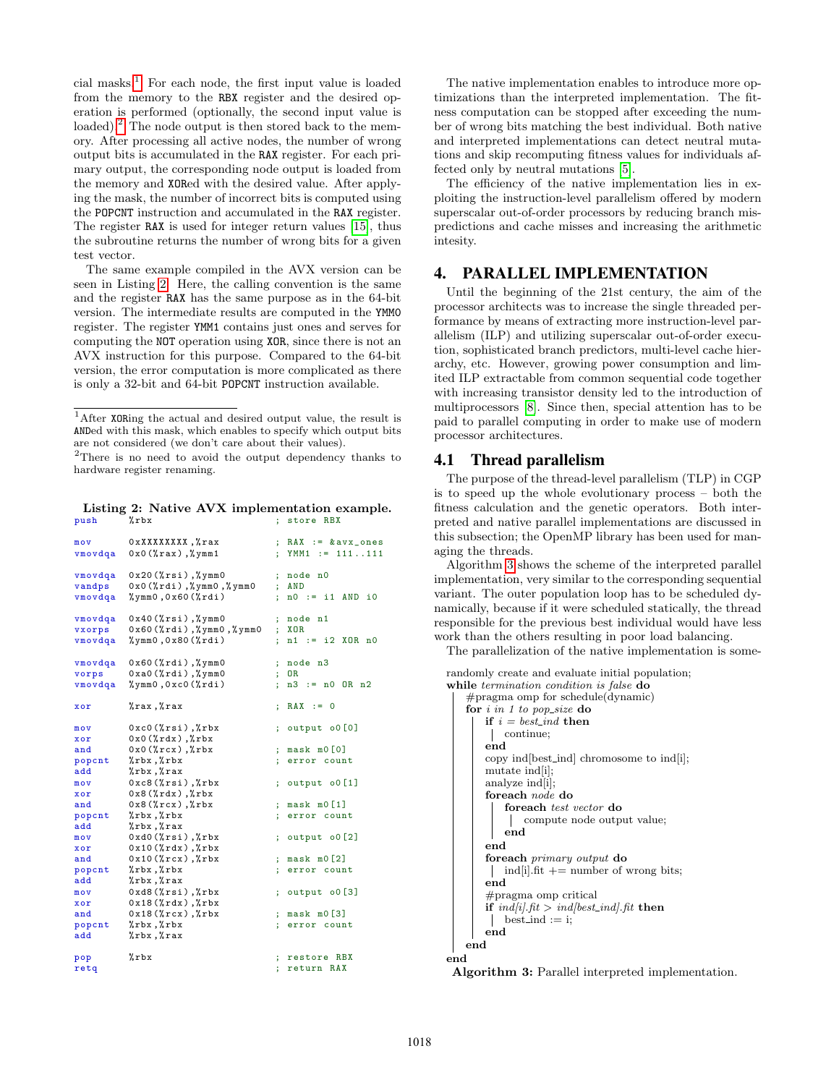cial masks. $<sup>1</sup>$  $<sup>1</sup>$  $<sup>1</sup>$  For each node, the first input value is loaded</sup> from the memory to the RBX register and the desired operation is performed (optionally, the second input value is loaded).<sup>[2](#page-3-2)</sup> The node output is then stored back to the memory. After processing all active nodes, the number of wrong output bits is accumulated in the RAX register. For each primary output, the corresponding node output is loaded from the memory and XORed with the desired value. After applying the mask, the number of incorrect bits is computed using the POPCNT instruction and accumulated in the RAX register. The register RAX is used for integer return values [\[15\]](#page-7-17), thus the subroutine returns the number of wrong bits for a given test vector.

The same example compiled in the AVX version can be seen in Listing [2.](#page-3-3) Here, the calling convention is the same and the register RAX has the same purpose as in the 64-bit version. The intermediate results are computed in the YMM0 register. The register YMM1 contains just ones and serves for computing the NOT operation using XOR, since there is not an AVX instruction for this purpose. Compared to the 64-bit version, the error computation is more complicated as there is only a 32-bit and 64-bit POPCNT instruction available.

<span id="page-3-3"></span>Listing 2: Native AVX implementation example.<br> $\frac{u \sinh}{\sinh}$  is store RBX push  $\%$ rbx ; store RBX

| mov<br>vmovdqa | 0xXXXXXXXX,%rax<br>$0x0$ ( $x$ rax), $x$ ymm1 | ÷<br>÷               | $RAX := & avx\_{ones}$<br>111111<br>YMM1<br>$t = 1$ |
|----------------|-----------------------------------------------|----------------------|-----------------------------------------------------|
| vmovdqa        | $0x20$ (% $rsi$ ), % $ymn0$                   | ÷                    | node n0                                             |
| vandps         | $0x0$ (%rdi), % ymm0, % ymm0                  | ÷                    | <b>AND</b>                                          |
| vmovdga        | $\gamma$ ymm0,0x60 $(\gamma$ rdi)             | ÷                    | $n0 := i1$ AND $i0$                                 |
| vmovdqa        | $0x40$ ( $x\sin$ ), $x\sin$                   | ÷                    | node n1                                             |
| vxorps         | $0x60$ (%rdi), %ymm0, %ymm0                   | ÷                    | XOR                                                 |
| vmovdqa        | $\gamma$ ymm0,0x80 $(\gamma_{rdi})$           | ÷                    | $n1 := i2 XOR n0$                                   |
| vmovdqa        | $0x60$ (%rdi), %ymm0                          | ÷                    | node n3                                             |
| vorps          | $0 x a 0$ ( $x d i$ ), $x y m n 0$            | $\ddot{\phantom{0}}$ | 0R                                                  |
| vmovdqa        | %ymm0,0xc0(%rdi)                              |                      | $n3 := n0$ OR $n2$                                  |
| xor            | $%$ rax, $%$ rax                              | t                    | $RAX := 0$                                          |
| mov            | $0xc0$ $(\text{``rsi)}, \text{``rbx}$         | ÷                    | output o0[0]                                        |
| xor            | $0x0$ (%rdx), %rbx                            |                      |                                                     |
| and            | $0x0$ (% $rcx$ ), % $rbx$                     | ÷                    | mask m0[0]                                          |
| popent         | %rbx,%rbx                                     | ÷.                   | error count                                         |
| add            | $%$ rbx, $%$ rax                              |                      |                                                     |
| mov            | $0xc8$ $(\text{ksi})$ , $\text{lrx}$          | ÷                    | output o0[1]                                        |
| xor            | $0x8$ (%rdx), %rbx                            |                      |                                                     |
| and            | $0x8$ $(*rx)$ , $*rbx$                        | ÷.                   | $mask$ $m0$ [1]                                     |
| popcnt         | $%$ rbx, $%$ rbx                              | $\ddot{\phantom{0}}$ | error count                                         |
| add            | %rbx,%rax                                     |                      |                                                     |
| mov            | $0xd0$ $(\text{Nrsi})$ , $\n  n$              | ÷                    | output o0[2]                                        |
| xor            | $0x10$ $(\text{Yrdx})$ , $\text{Yrbx}$        |                      |                                                     |
| and            | $0x10$ (% $rcx$ ), % $rbx$                    | $\ddot{\phantom{0}}$ | $mask$ $m0$ [2]                                     |
| popcnt         | $%$ rbx, $%$ rbx                              | ÷                    | error count                                         |
| add            | $%$ rbx, $%$ rax                              |                      |                                                     |
| mov            | $0xd8$ (% $rsi)$ , % $rbx$                    | ÷                    | output o0[3]                                        |
| xor            | $0x18$ ( $xdx$ ), $xdx$                       |                      |                                                     |
| and            | $0x18$ ( $xrx$ ), $xbx$                       | ÷.                   | mask m0[3]                                          |
| popcnt         | %rbx,%rbx                                     | ÷.                   | error count                                         |
| add            | %rbx,%rax                                     |                      |                                                     |
| pop            | $\chi$ rbx                                    | ÷                    | restore RBX                                         |
| retq           |                                               |                      | return RAX                                          |

The native implementation enables to introduce more optimizations than the interpreted implementation. The fitness computation can be stopped after exceeding the number of wrong bits matching the best individual. Both native and interpreted implementations can detect neutral mutations and skip recomputing fitness values for individuals affected only by neutral mutations [\[5\]](#page-7-18).

The efficiency of the native implementation lies in exploiting the instruction-level parallelism offered by modern superscalar out-of-order processors by reducing branch mispredictions and cache misses and increasing the arithmetic intesity.

## <span id="page-3-0"></span>4. PARALLEL IMPLEMENTATION

Until the beginning of the 21st century, the aim of the processor architects was to increase the single threaded performance by means of extracting more instruction-level parallelism (ILP) and utilizing superscalar out-of-order execution, sophisticated branch predictors, multi-level cache hierarchy, etc. However, growing power consumption and limited ILP extractable from common sequential code together with increasing transistor density led to the introduction of multiprocessors [\[8\]](#page-7-19). Since then, special attention has to be paid to parallel computing in order to make use of modern processor architectures.

# 4.1 Thread parallelism

The purpose of the thread-level parallelism (TLP) in CGP is to speed up the whole evolutionary process – both the fitness calculation and the genetic operators. Both interpreted and native parallel implementations are discussed in this subsection; the OpenMP library has been used for managing the threads.

Algorithm [3](#page-3-4) shows the scheme of the interpreted parallel implementation, very similar to the corresponding sequential variant. The outer population loop has to be scheduled dynamically, because if it were scheduled statically, the thread responsible for the previous best individual would have less work than the others resulting in poor load balancing.

The parallelization of the native implementation is some-

```
randomly create and evaluate initial population;
while termination condition is false do
   #pragma omp for schedule(dynamic)
   for i in 1 to pop-size do
       if i = best\_ind then
        continue;
       end
       copy ind[best ind] chromosome to ind[i];
       mutate ind[i];
       analyze ind[i];
       foreach node do
          foreach test vector do
             compute node output value;
          end
       end
       foreach primary output do
        | ind[i].fit += number of wrong bits;
       end
       #pragma omp critical
       if ind[i].fit > ind/best\_ind].fit then
          best\_ind := i;end
   end
end
```
<span id="page-3-4"></span>Algorithm 3: Parallel interpreted implementation.

<span id="page-3-1"></span><sup>1</sup>After XORing the actual and desired output value, the result is ANDed with this mask, which enables to specify which output bits are not considered (we don't care about their values).

<span id="page-3-2"></span><sup>&</sup>lt;sup>2</sup>There is no need to avoid the output dependency thanks to hardware register renaming.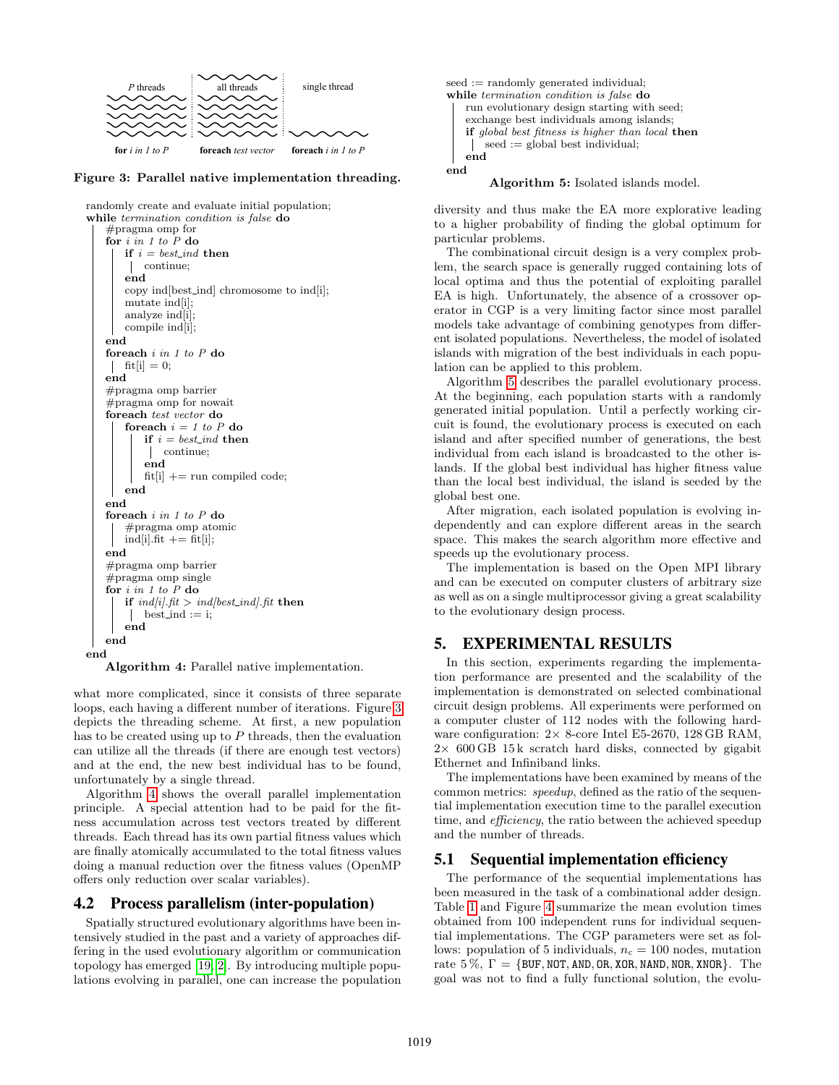

Figure 3: Parallel native implementation threading.

<span id="page-4-1"></span>randomly create and evaluate initial population; while termination condition is false do #pragma omp for for i in 1 to P do if  $i = best\_ind$  then continue; end copy ind[best ind] chromosome to ind[i]; mutate ind[i]; analyze ind[i]; compile ind[i]; end foreach i in 1 to P do  $\text{fit}[\text{i}] = 0;$ end #pragma omp barrier #pragma omp for nowait foreach test vector do foreach  $i = 1$  to P do if  $i = best\_ind$  then continue; end  $\text{fit}[\text{i}]$  += run compiled code; end end foreach i in 1 to P do #pragma omp atomic  $ind[i].fit += fit[i];$ end #pragma omp barrier #pragma omp single for i in 1 to P do if  $ind[i].fit > ind/best\_ind].fit$  then  $best\_ind := i;$ end end end

<span id="page-4-2"></span>Algorithm 4: Parallel native implementation.

what more complicated, since it consists of three separate loops, each having a different number of iterations. Figure [3](#page-4-1) depicts the threading scheme. At first, a new population has to be created using up to  $P$  threads, then the evaluation can utilize all the threads (if there are enough test vectors) and at the end, the new best individual has to be found, unfortunately by a single thread.

Algorithm [4](#page-4-2) shows the overall parallel implementation principle. A special attention had to be paid for the fitness accumulation across test vectors treated by different threads. Each thread has its own partial fitness values which are finally atomically accumulated to the total fitness values doing a manual reduction over the fitness values (OpenMP offers only reduction over scalar variables).

### 4.2 Process parallelism (inter-population)

Spatially structured evolutionary algorithms have been intensively studied in the past and a variety of approaches differing in the used evolutionary algorithm or communication topology has emerged [\[19,](#page-7-20) [2\]](#page-7-21). By introducing multiple populations evolving in parallel, one can increase the population

```
seed := randomly generated individual;
while termination condition is false do
   run evolutionary design starting with seed;
   exchange best individuals among islands;
   if global best fitness is higher than local then
       seed := global best individual;
    \mathbb{R}end
end
```
Algorithm 5: Isolated islands model.

<span id="page-4-3"></span>diversity and thus make the EA more explorative leading to a higher probability of finding the global optimum for particular problems.

The combinational circuit design is a very complex problem, the search space is generally rugged containing lots of local optima and thus the potential of exploiting parallel EA is high. Unfortunately, the absence of a crossover operator in CGP is a very limiting factor since most parallel models take advantage of combining genotypes from different isolated populations. Nevertheless, the model of isolated islands with migration of the best individuals in each population can be applied to this problem.

Algorithm [5](#page-4-3) describes the parallel evolutionary process. At the beginning, each population starts with a randomly generated initial population. Until a perfectly working circuit is found, the evolutionary process is executed on each island and after specified number of generations, the best individual from each island is broadcasted to the other islands. If the global best individual has higher fitness value than the local best individual, the island is seeded by the global best one.

After migration, each isolated population is evolving independently and can explore different areas in the search space. This makes the search algorithm more effective and speeds up the evolutionary process.

The implementation is based on the Open MPI library and can be executed on computer clusters of arbitrary size as well as on a single multiprocessor giving a great scalability to the evolutionary design process.

# <span id="page-4-0"></span>5. EXPERIMENTAL RESULTS

In this section, experiments regarding the implementation performance are presented and the scalability of the implementation is demonstrated on selected combinational circuit design problems. All experiments were performed on a computer cluster of 112 nodes with the following hardware configuration:  $2 \times 8$ -core Intel E5-2670, 128 GB RAM,  $2 \times 600$  GB 15 k scratch hard disks, connected by gigabit Ethernet and Infiniband links.

The implementations have been examined by means of the common metrics: speedup, defined as the ratio of the sequential implementation execution time to the parallel execution time, and *efficiency*, the ratio between the achieved speedup and the number of threads.

### 5.1 Sequential implementation efficiency

The performance of the sequential implementations has been measured in the task of a combinational adder design. Table [1](#page-5-0) and Figure [4](#page-5-1) summarize the mean evolution times obtained from 100 independent runs for individual sequential implementations. The CGP parameters were set as follows: population of 5 individuals,  $n_c = 100$  nodes, mutation rate  $5\%$ ,  $\Gamma = \{BUF, NOT, AND, OR, XOR, NAND, NOR, XNOR\}$ . The goal was not to find a fully functional solution, the evolu-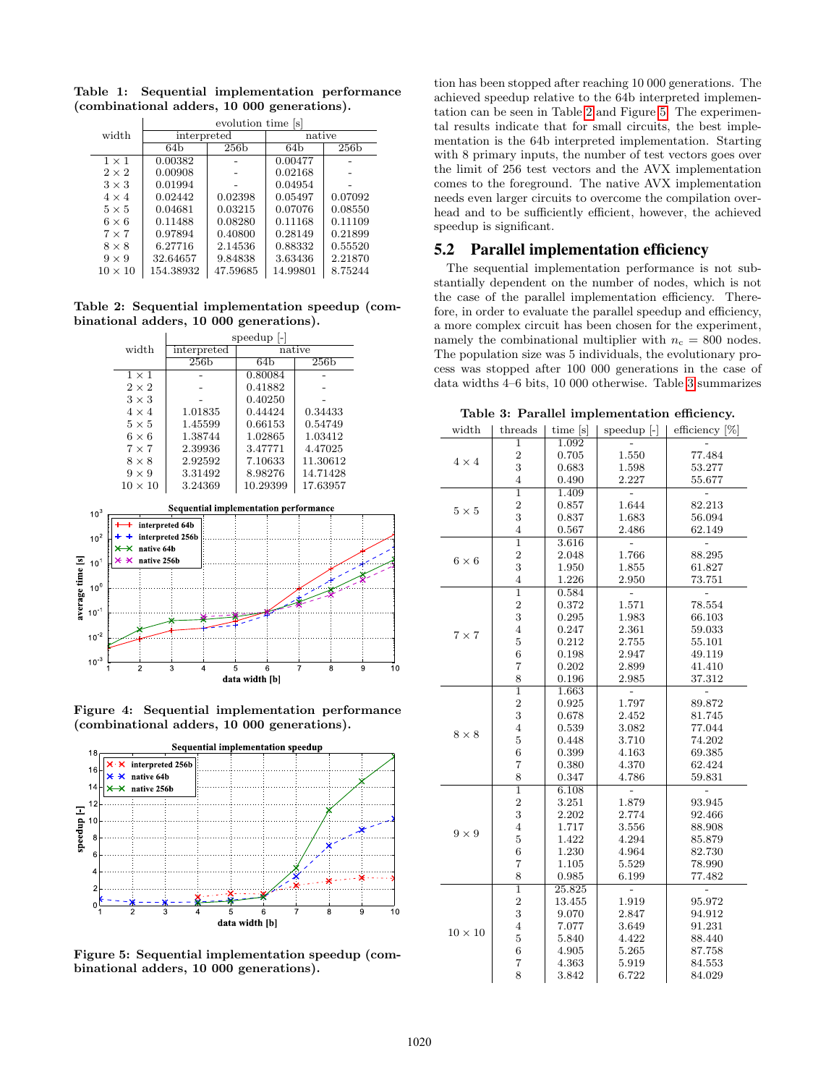Table 1: Sequential implementation performance (combinational adders, 10 000 generations).

<span id="page-5-0"></span>

|                | evolution time [s] |                  |          |                  |  |  |
|----------------|--------------------|------------------|----------|------------------|--|--|
| width          | interpreted        |                  | native   |                  |  |  |
|                | 64b                | 256 <sub>b</sub> | 64b      | 256 <sub>b</sub> |  |  |
| $1 \times 1$   | 0.00382            |                  | 0.00477  |                  |  |  |
| $2 \times 2$   | 0.00908            |                  | 0.02168  |                  |  |  |
| $3 \times 3$   | 0.01994            |                  | 0.04954  |                  |  |  |
| $4 \times 4$   | 0.02442            | 0.02398          | 0.05497  | 0.07092          |  |  |
| $5 \times 5$   | 0.04681            | 0.03215          | 0.07076  | 0.08550          |  |  |
| $6 \times 6$   | 0.11488            | 0.08280          | 0.11168  | 0.11109          |  |  |
| $7 \times 7$   | 0.97894            | 0.40800          | 0.28149  | 0.21899          |  |  |
| $8 \times 8$   | 6.27716            | 2.14536          | 0.88332  | 0.55520          |  |  |
| $9 \times 9$   | 32.64657           | 9.84838          | 3.63436  | 2.21870          |  |  |
| $10 \times 10$ | 154.38932          | 47.59685         | 14.99801 | 8.75244          |  |  |

Table 2: Sequential implementation speedup (combinational adders, 10 000 generations).

<span id="page-5-2"></span>

|                | speedup $\lvert - \rvert$ |          |                  |  |  |
|----------------|---------------------------|----------|------------------|--|--|
| width          | interpreted               | native   |                  |  |  |
|                | 256 <sub>b</sub>          | 64b      | 256 <sub>b</sub> |  |  |
| $1 \times 1$   |                           | 0.80084  |                  |  |  |
| $2 \times 2$   |                           | 0.41882  |                  |  |  |
| $3 \times 3$   |                           | 0.40250  |                  |  |  |
| $4 \times 4$   | 1.01835                   | 0.44424  | 0.34433          |  |  |
| $5 \times 5$   | 1.45599                   | 0.66153  | 0.54749          |  |  |
| $6 \times 6$   | 1.38744                   | 1.02865  | 1.03412          |  |  |
| $7 \times 7$   | 2.39936                   | 3.47771  | 4.47025          |  |  |
| $8 \times 8$   | 2.92592                   | 7.10633  | 11.30612         |  |  |
| $9 \times 9$   | 3.31492                   | 8.98276  | 14.71428         |  |  |
| $10 \times 10$ | 3.24369                   | 10.29399 | 17.63957         |  |  |
|                |                           |          |                  |  |  |



<span id="page-5-1"></span>Figure 4: Sequential implementation performance (combinational adders, 10 000 generations).



<span id="page-5-3"></span>Figure 5: Sequential implementation speedup (combinational adders, 10 000 generations).

tion has been stopped after reaching 10 000 generations. The achieved speedup relative to the 64b interpreted implementation can be seen in Table [2](#page-5-2) and Figure [5.](#page-5-3) The experimental results indicate that for small circuits, the best implementation is the 64b interpreted implementation. Starting with 8 primary inputs, the number of test vectors goes over the limit of 256 test vectors and the AVX implementation comes to the foreground. The native AVX implementation needs even larger circuits to overcome the compilation overhead and to be sufficiently efficient, however, the achieved speedup is significant.

#### 5.2 Parallel implementation efficiency

The sequential implementation performance is not substantially dependent on the number of nodes, which is not the case of the parallel implementation efficiency. Therefore, in order to evaluate the parallel speedup and efficiency, a more complex circuit has been chosen for the experiment, namely the combinational multiplier with  $n_c = 800$  nodes. The population size was 5 individuals, the evolutionary process was stopped after 100 000 generations in the case of data widths 4–6 bits, 10 000 otherwise. Table [3](#page-5-4) summarizes

<span id="page-5-4"></span>Table 3: Parallel implementation efficiency.

| width          | threads        | time [s] | speedup $\lceil - \rceil$ | efficiency $[\%]$ |  |
|----------------|----------------|----------|---------------------------|-------------------|--|
|                | 1              | 1.092    |                           |                   |  |
| $4 \times 4$   | $\overline{2}$ | 0.705    | 1.550                     | 77.484            |  |
|                | 3              | 0.683    | 1.598                     | 53.277            |  |
|                | 4              | 0.490    | 2.227                     | 55.677            |  |
|                | $\overline{1}$ | 1.409    | $\overline{a}$            | $\overline{a}$    |  |
| $5 \times 5$   | $\overline{2}$ | 0.857    | 1.644                     | 82.213            |  |
|                | 3              | 0.837    | 1.683                     | 56.094            |  |
|                | $\overline{4}$ | 0.567    | 2.486                     | 62.149            |  |
|                | ī              | 3.616    |                           |                   |  |
|                | $\overline{2}$ | 2.048    | 1.766                     | 88.295            |  |
| $6\times6$     | 3              | 1.950    | 1.855                     | 61.827            |  |
|                | $\overline{4}$ | 1.226    | 2.950                     | 73.751            |  |
|                | ī              | 0.584    | $\overline{a}$            | $\overline{a}$    |  |
|                | $\overline{2}$ | 0.372    | 1.571                     | 78.554            |  |
|                | 3              | 0.295    | 1.983                     | 66.103            |  |
|                | $\overline{4}$ | 0.247    | 2.361                     | 59.033            |  |
| $7\times7$     | $\overline{5}$ | 0.212    | 2.755                     | 55.101            |  |
|                | 6              | 0.198    | 2.947                     | 49.119            |  |
|                | $\overline{7}$ | 0.202    | 2.899                     | 41.410            |  |
|                | 8              | 0.196    | 2.985                     | 37.312            |  |
|                | $\overline{1}$ | 1.663    |                           |                   |  |
|                | $\overline{2}$ | 0.925    | 1.797                     | 89.872            |  |
|                | $\,3$          | 0.678    | 2.452                     | 81.745            |  |
|                | $\overline{4}$ | 0.539    | 3.082                     | 77.044            |  |
| $8 \times 8$   | $\overline{5}$ | 0.448    | 3.710                     | 74.202            |  |
|                | 6              | 0.399    | 4.163                     | 69.385            |  |
|                | $\overline{7}$ | 0.380    | 4.370                     | 62.424            |  |
|                | 8              | 0.347    | 4.786                     | 59.831            |  |
|                | $\overline{1}$ | 6.108    |                           |                   |  |
|                | $\overline{2}$ | 3.251    | 1.879                     | 93.945            |  |
|                | 3              | 2.202    | 2.774                     | 92.466            |  |
|                | $\overline{4}$ | 1.717    | 3.556                     | 88.908            |  |
| $9 \times 9$   | $\overline{5}$ | 1.422    | 4.294                     | 85.879            |  |
|                | 6              | 1.230    | 4.964                     | 82.730            |  |
|                | $\overline{7}$ | 1.105    | 5.529                     | 78.990            |  |
|                | 8              | 0.985    | 6.199                     | 77.482            |  |
|                | $\overline{1}$ | 25.825   | Ξ                         | $\overline{a}$    |  |
|                | $\overline{2}$ | 13.455   | 1.919                     | 95.972            |  |
|                | 3              | 9.070    | 2.847                     | 94.912            |  |
|                | $\overline{4}$ | 7.077    | 3.649                     | 91.231            |  |
| $10 \times 10$ | $\overline{5}$ | 5.840    | 4.422                     | 88.440            |  |
|                | 6              | 4.905    | 5.265                     | 87.758            |  |
|                | $\overline{7}$ | 4.363    | 5.919                     | 84.553            |  |
|                | 8              | 3.842    | 6.722                     | 84.029            |  |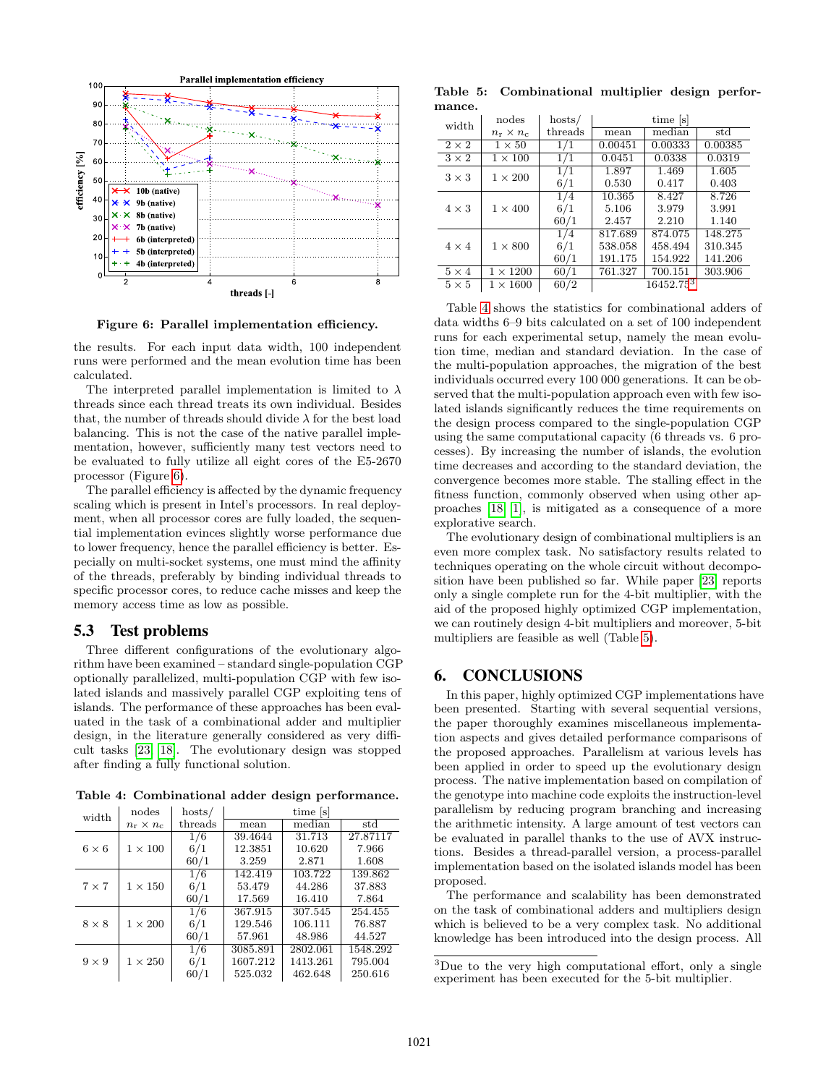

<span id="page-6-1"></span>Figure 6: Parallel implementation efficiency.

the results. For each input data width, 100 independent runs were performed and the mean evolution time has been calculated.

The interpreted parallel implementation is limited to  $\lambda$ threads since each thread treats its own individual. Besides that, the number of threads should divide  $\lambda$  for the best load balancing. This is not the case of the native parallel implementation, however, sufficiently many test vectors need to be evaluated to fully utilize all eight cores of the E5-2670 processor (Figure [6\)](#page-6-1).

The parallel efficiency is affected by the dynamic frequency scaling which is present in Intel's processors. In real deployment, when all processor cores are fully loaded, the sequential implementation evinces slightly worse performance due to lower frequency, hence the parallel efficiency is better. Especially on multi-socket systems, one must mind the affinity of the threads, preferably by binding individual threads to specific processor cores, to reduce cache misses and keep the memory access time as low as possible.

#### 5.3 Test problems

Three different configurations of the evolutionary algorithm have been examined – standard single-population CGP optionally parallelized, multi-population CGP with few isolated islands and massively parallel CGP exploiting tens of islands. The performance of these approaches has been evaluated in the task of a combinational adder and multiplier design, in the literature generally considered as very difficult tasks [\[23,](#page-7-22) [18\]](#page-7-5). The evolutionary design was stopped after finding a fully functional solution.

<span id="page-6-3"></span>Table 4: Combinational adder design performance.

| width        | nodes            | $\text{hosts}$ | time s   |          |          |  |
|--------------|------------------|----------------|----------|----------|----------|--|
|              | $n_r \times n_c$ | threads        | mean     | median   | std      |  |
|              |                  | 1/6            | 39.4644  | 31.713   | 27.87117 |  |
| $6 \times 6$ | $1 \times 100$   | 6/1            | 12.3851  | 10.620   | 7.966    |  |
|              |                  | 60/1           | 3.259    | 2.871    | 1.608    |  |
|              |                  | 1/6            | 142.419  | 103.722  | 139.862  |  |
| $7 \times 7$ | $1 \times 150$   | 6/1            | 53.479   | 44.286   | 37.883   |  |
|              |                  | 60/1           | 17.569   | 16.410   | 7.864    |  |
|              |                  | 1/6            | 367.915  | 307.545  | 254.455  |  |
| $8 \times 8$ | $1 \times 200$   | 6/1            | 129.546  | 106.111  | 76.887   |  |
|              |                  | 60/1           | 57.961   | 48.986   | 44.527   |  |
|              |                  | 1/6            | 3085.891 | 2802.061 | 1548.292 |  |
| $9 \times 9$ | $1 \times 250$   | 6/1            | 1607.212 | 1413.261 | 795.004  |  |
|              |                  | 60/1           | 525.032  | 462.648  | 250.616  |  |

<span id="page-6-4"></span>Table 5: Combinational multiplier design performance.

| width        | nodes            | $\text{hosts}$ | time  s |                       |         |
|--------------|------------------|----------------|---------|-----------------------|---------|
|              | $n_r \times n_c$ | threads        | mean    | median                | std     |
| $2 \times 2$ | $1 \times 50$    | 1/1            | 0.00451 | 0.00333               | 0.00385 |
| $3 \times 2$ | $1 \times 100$   | 1/1            | 0.0451  | 0.0338                | 0.0319  |
| $3 \times 3$ | $1 \times 200$   | 1/1            | 1.897   | 1.469                 | 1.605   |
|              |                  | 6/1            | 0.530   | 0.417                 | 0.403   |
|              |                  | 1/4            | 10.365  | 8.427                 | 8.726   |
| $4 \times 3$ | $1 \times 400$   | 6/1            | 5.106   | 3.979                 | 3.991   |
|              |                  | 60/1           | 2.457   | 2.210                 | 1.140   |
|              |                  | 1/4            | 817.689 | 874.075               | 148.275 |
| $4 \times 4$ | $1 \times 800$   | 6/1            | 538.058 | 458.494               | 310.345 |
|              |                  | 60/1           | 191.175 | 154.922               | 141.206 |
| $5 \times 4$ | $1 \times 1200$  | 60/1           | 761.327 | 700.151               | 303.906 |
| $5 \times 5$ | $1 \times 1600$  | 60/2           |         | 16452.75 <sup>3</sup> |         |

Table [4](#page-6-3) shows the statistics for combinational adders of data widths 6–9 bits calculated on a set of 100 independent runs for each experimental setup, namely the mean evolution time, median and standard deviation. In the case of the multi-population approaches, the migration of the best individuals occurred every 100 000 generations. It can be observed that the multi-population approach even with few isolated islands significantly reduces the time requirements on the design process compared to the single-population CGP using the same computational capacity (6 threads vs. 6 processes). By increasing the number of islands, the evolution time decreases and according to the standard deviation, the convergence becomes more stable. The stalling effect in the fitness function, commonly observed when using other approaches [\[18,](#page-7-5) [1\]](#page-7-23), is mitigated as a consequence of a more explorative search.

The evolutionary design of combinational multipliers is an even more complex task. No satisfactory results related to techniques operating on the whole circuit without decomposition have been published so far. While paper [\[23\]](#page-7-22) reports only a single complete run for the 4-bit multiplier, with the aid of the proposed highly optimized CGP implementation, we can routinely design 4-bit multipliers and moreover, 5-bit multipliers are feasible as well (Table [5\)](#page-6-4).

### <span id="page-6-0"></span>6. CONCLUSIONS

In this paper, highly optimized CGP implementations have been presented. Starting with several sequential versions, the paper thoroughly examines miscellaneous implementation aspects and gives detailed performance comparisons of the proposed approaches. Parallelism at various levels has been applied in order to speed up the evolutionary design process. The native implementation based on compilation of the genotype into machine code exploits the instruction-level parallelism by reducing program branching and increasing the arithmetic intensity. A large amount of test vectors can be evaluated in parallel thanks to the use of AVX instructions. Besides a thread-parallel version, a process-parallel implementation based on the isolated islands model has been proposed.

The performance and scalability has been demonstrated on the task of combinational adders and multipliers design which is believed to be a very complex task. No additional knowledge has been introduced into the design process. All

<span id="page-6-2"></span><sup>3</sup>Due to the very high computational effort, only a single experiment has been executed for the 5-bit multiplier.